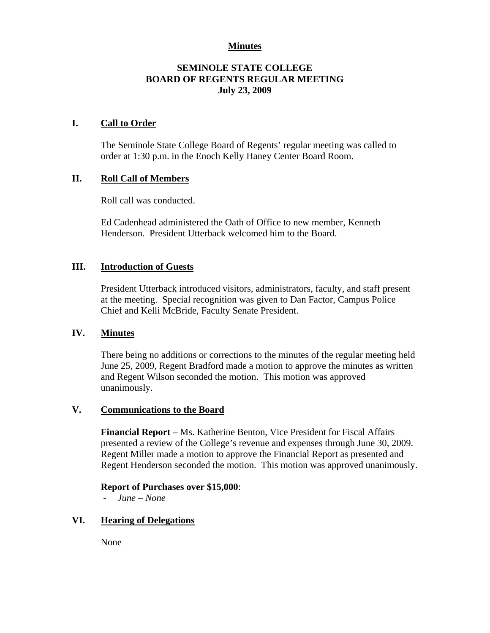# **Minutes**

# **SEMINOLE STATE COLLEGE BOARD OF REGENTS REGULAR MEETING July 23, 2009**

## **I. Call to Order**

The Seminole State College Board of Regents' regular meeting was called to order at 1:30 p.m. in the Enoch Kelly Haney Center Board Room.

# **II. Roll Call of Members**

Roll call was conducted.

Ed Cadenhead administered the Oath of Office to new member, Kenneth Henderson. President Utterback welcomed him to the Board.

#### **III. Introduction of Guests**

President Utterback introduced visitors, administrators, faculty, and staff present at the meeting. Special recognition was given to Dan Factor, Campus Police Chief and Kelli McBride, Faculty Senate President.

#### **IV. Minutes**

There being no additions or corrections to the minutes of the regular meeting held June 25, 2009, Regent Bradford made a motion to approve the minutes as written and Regent Wilson seconded the motion. This motion was approved unanimously.

# **V. Communications to the Board**

**Financial Report** – Ms. Katherine Benton, Vice President for Fiscal Affairs presented a review of the College's revenue and expenses through June 30, 2009. Regent Miller made a motion to approve the Financial Report as presented and Regent Henderson seconded the motion. This motion was approved unanimously.

#### **Report of Purchases over \$15,000**:

- *June – None* 

# **VI. Hearing of Delegations**

None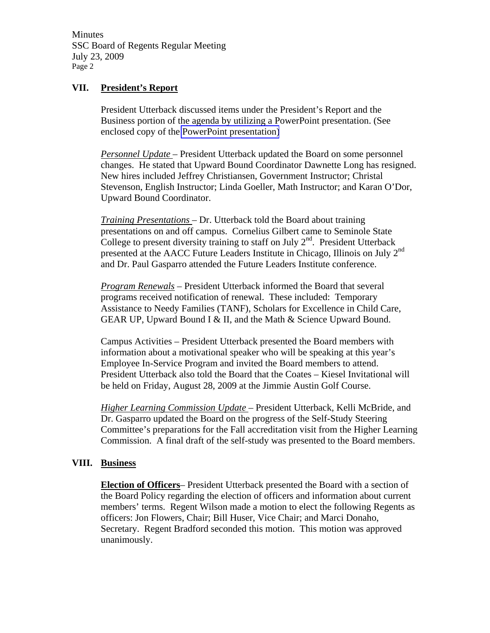Minutes SSC Board of Regents Regular Meeting July 23, 2009 Page 2

## **VII. President's Report**

President Utterback discussed items under the President's Report and the Business portion of the agenda by utilizing a PowerPoint presentation. (See enclosed copy of the PowerPoint presentation)

*Personnel Update* – President Utterback updated the Board on some personnel changes. He stated that Upward Bound Coordinator Dawnette Long has resigned. New hires included Jeffrey Christiansen, Government Instructor; Christal Stevenson, English Instructor; Linda Goeller, Math Instructor; and Karan O'Dor, Upward Bound Coordinator.

*Training Presentations* – Dr. Utterback told the Board about training presentations on and off campus. Cornelius Gilbert came to Seminole State College to present diversity training to staff on July  $2<sup>nd</sup>$ . President Utterback presented at the AACC Future Leaders Institute in Chicago, Illinois on July 2<sup>nd</sup> and Dr. Paul Gasparro attended the Future Leaders Institute conference.

*Program Renewals* – President Utterback informed the Board that several programs received notification of renewal. These included: Temporary Assistance to Needy Families (TANF), Scholars for Excellence in Child Care, GEAR UP, Upward Bound I & II, and the Math & Science Upward Bound.

Campus Activities – President Utterback presented the Board members with information about a motivational speaker who will be speaking at this year's Employee In-Service Program and invited the Board members to attend. President Utterback also told the Board that the Coates – Kiesel Invitational will be held on Friday, August 28, 2009 at the Jimmie Austin Golf Course.

*Higher Learning Commission Update* – President Utterback, Kelli McBride, and Dr. Gasparro updated the Board on the progress of the Self-Study Steering Committee's preparations for the Fall accreditation visit from the Higher Learning Commission. A final draft of the self-study was presented to the Board members.

#### **VIII. Business**

**Election of Officers**– President Utterback presented the Board with a section of the Board Policy regarding the election of officers and information about current members' terms. Regent Wilson made a motion to elect the following Regents as officers: Jon Flowers, Chair; Bill Huser, Vice Chair; and Marci Donaho, Secretary. Regent Bradford seconded this motion. This motion was approved unanimously.